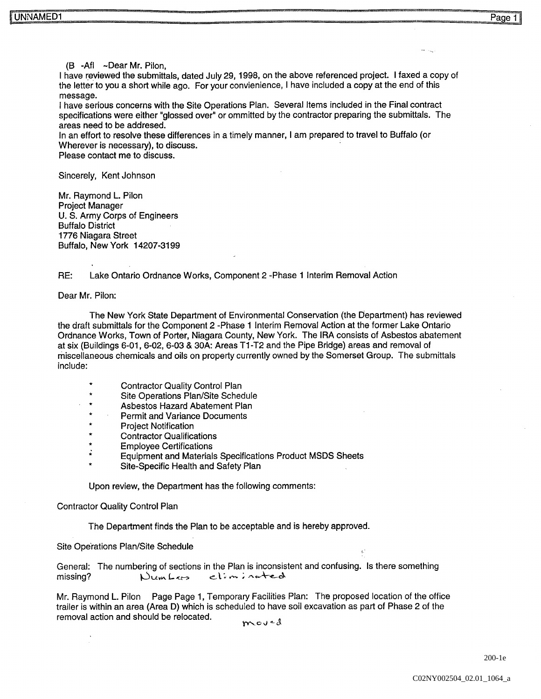$(B - AfI \sim$ Dear Mr. Pilon.

I have reviewed the submittals, dated July 29, 1998, on the above referenced project. I faxed a copy of the letter to you a short while ago. For your convienience, I have included a copy at the end of this message

I have serious concerns with the Site Operations Plan. Several Items included in the Final contract specifications were either "glossed over" or ommitted by the contractor preparing the submittals. The areas need to be addresed

In an effort to resolve these differences in a timely manner, I am prepared to travel to Buffalo (or Wherever is necessary), to discuss.

Please contact me to discuss

Sincerely, Kent Johnson

Mr. Raymond L. Pilon Project Manager U. S. Army Corps of Engineers Buffalo District 1776 Niagara Street Buffalo, New York 14207-3199

RE: Lake Ontario Ordnance Works, Component 2 -Phase 1 Interim Removal Action

Dear Mr. Pilon:

The New York State Department of Environmental Conservation (the Department) has reviewed the draft submittals for the Component 2 -Phase 1 Interim Removal Action at the former Lake Ontario Ordnance Works, Town of Porter, Niagara County, New York. The IRA consists of Asbestos abatement at six (Buildings 6-01, 6-02, 6-03 & 30A: Areas T1-T2 and the Pipe Bridge) areas and removal of miscellaneous chemicals and oils on property currently owned by the Somerset Group. The submittals include:

- Contractor Quality Control Plan
- Site Operations Plan/Site Schedule
- Asbestos Hazard Abatement Plan
- Permit and Variance Documents
- Project Notification
- Contractor Qualifications
- Employee Certifications
- Equipment and Materials Specifications Product MSDS Sheets
- Site-Specific Health and Safety Plan

Upon review, the Department has the following comments:

Contractor Quality Control Plan

The Department finds the Plan to be acceptable and is hereby approved

Site Operations Plan/Site Schedule

General: The numbering of sections in the Plan is inconsistent and confusing. Is there something missing? Numbers eliminated

Mr. Raymond L. Pilon Page Page 1, Temporary Facilities Plan: The proposed location of the office trailer is within an area (Area D) which is scheduled to have soil excavation as part of Phase 2 of the removal action and should be relocated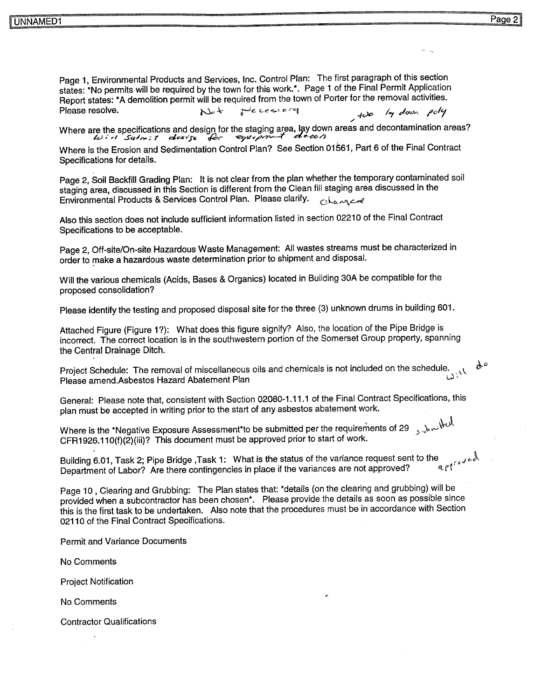Page 1, Environmental Products and Services, Inc. Control Plan: The first paragraph of this section states: \*No permits will be required by the town for this work.\*. Page 1 of the Final Permit Application Report states demolition permit will be required from the town of Porter for the removal activities Please resolve Peccara  $\sim$ 

Where are the specifications and design for the staging area, lay down areas and decontamination areas<br>e-ce of decontamination areas and decontamination areas

Where is the Erosion and Sedimentation Control Plan? See Section 01561, Part 6 of the Final Contract Specifications for details

Page 2, Soil Backfill Grading Plan: It is not clear from the plan whether the temporary contaminated soil staging area, discussed in this Section is different from the Clean fill staging area discussed in the Environmental Products & Services Control Plan. Please clarify. orhanged

Also this section does not include sufficient information listed in section <sup>02210</sup> of the Final Contract Specifications to be acceptable

Page 2, Off-site/On-site Hazardous Waste Management: All wastes streams must be characterized in order to make a hazardous waste determination prior to shipment and disposal.

Will the various chemicals (Acids, Bases & Organics) located in Building 30A be compatible for the proposed consolidation

Please identify the testing and proposed disposal site for the three (3) unknown drums in building 601.

Attached Figure (Figure 1?): What does this figure signify? Also, the location of the Pipe Bridge is incorrect. The correct location is in the southwestern portion of the Somerset Group property, spanning the Central Drainage Ditch

Project Schedule: The removal of miscellaneous oils and chemicals is not included on the schedule.  $\nu_{i}$ Please amend.Asbestos Hazard Abatement Plan

General: Please note that, consistent with Section 02080-1.11.1 of the Final Contract Specifications, this plan must be accepted in writing prior to the start of any asbestos abatement work

Where is the \*Negative Exposure Assessment\*to be submitted per the requirements of 29  $\sqrt{2}$  $CFR1926.110(f)(2)$ (iii)? This document must be approved prior to start of work.

Building 6.01, Task 2; Pipe Bridge ,Task 1: What is the status of the variance request sent to the Department of Labor? Are there continuencies in place if the variance request sent to the Department of Labor? Are there contingencies in place if the variances are not approved?

Page 10, Clearing and Grubbing: The Plan states that: \*details (on the clearing and grubbing) will be provided when a subcontractor has been chosen\*. Please provide the details as soon as possible since this is the first task to be undertaken. Also note that the procedures must be in accordance with Section 02110 of the Final Contract Specifications.

Permit and Variance Documents

No Comments

Project Notification

No Comments

Contractor Qualifications

 $\alpha^{\circ}$